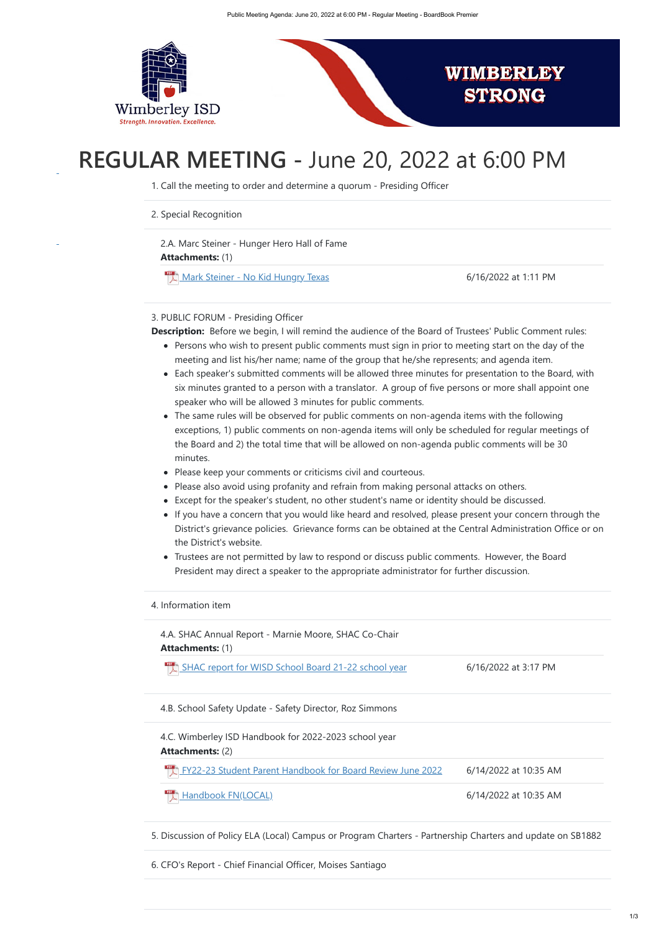

# **REGULAR MEETING -** June 20, 2022 at 6:00 PM

- Persons who wish to present public comments must sign in prior to meeting start on the day of the meeting and list his/her name; name of the group that he/she represents; and agenda item.
- Each speaker's submitted comments will be allowed three minutes for presentation to the Board, with six minutes granted to a person with a translator. A group of five persons or more shall appoint one speaker who will be allowed 3 minutes for public comments.
- The same rules will be observed for public comments on non-agenda items with the following exceptions, 1) public comments on non-agenda items will only be scheduled for regular meetings of the Board and 2) the total time that will be allowed on non-agenda public comments will be 30 minutes.
- Please keep your comments or criticisms civil and courteous.
- Please also avoid using profanity and refrain from making personal attacks on others.
- Except for the speaker's student, no other student's name or identity should be discussed.
- If you have a concern that you would like heard and resolved, please present your concern through the District's grievance policies. Grievance forms can be obtained at the Central Administration Office or on the District's website.
- Trustees are not permitted by law to respond or discuss public comments. However, the Board President may direct a speaker to the appropriate administrator for further discussion.

**Attachments:** (1) 2.A. Marc Steiner - Hunger Hero Hall of Fame

[Mark Steiner - No Kid Hungry Texas](https://meetings.boardbook.org/Documents/FileViewerOrPublic/2301?file=cba51e71-e0e1-4942-907c-b7460210d268&isFromMeeting=True) 6/16/2022 at 1:11 PM

1. Call the meeting to order and determine a quorum - Presiding Officer

2. Special Recognition

**Attachments:** (1) 4.A. SHAC Annual Report - Marnie Moore, SHAC Co-Chair

[SHAC report for WISD School Board 21-22 school year](https://meetings.boardbook.org/Documents/FileViewerOrPublic/2301?file=f0f13e87-014b-4de6-9f84-ea428ef7270c&isFromMeeting=True) 6/16/2022 at 3:17 PM

### 3. PUBLIC FORUM - Presiding Officer

**Description:** Before we begin, I will remind the audience of the Board of Trustees' Public Comment rules:

**Attachments:** (2) 4.C. Wimberley ISD Handbook for 2022-2023 school year

#### 4. Information item

4.B. School Safety Update - Safety Director, Roz Simmons

[FY22-23 Student Parent Handbook for Board Review June 2022](https://meetings.boardbook.org/Documents/FileViewerOrPublic/2301?file=d8318c49-dcc9-4f5c-a58d-dd68632f1cf3&isFromMeeting=True) 6/14/2022 at 10:35 AM

[Handbook FN\(LOCAL\)](https://meetings.boardbook.org/Documents/FileViewerOrPublic/2301?file=cf1b5ba9-41da-4eb7-a4ed-39a1b23247ae&isFromMeeting=True) 6/14/2022 at 10:35 AM

5. Discussion of Policy ELA (Local) Campus or Program Charters - Partnership Charters and update on SB1882

6. CFO's Report - Chief Financial Officer, Moises Santiago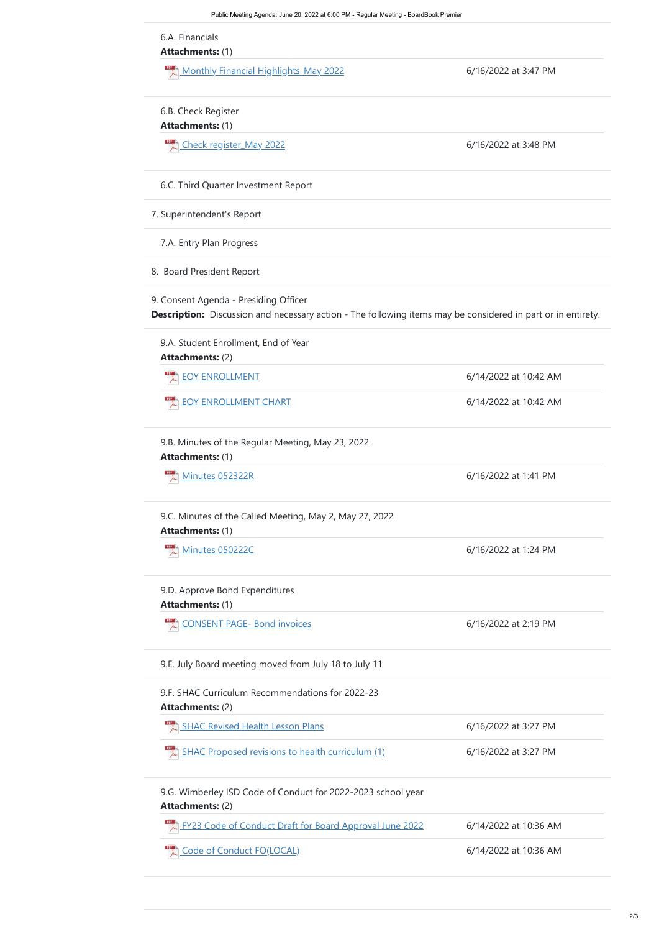**Attachments:** (1)

Monthly Financial Highlights May 2022 6/16/2022 at 3:47 PM

**Attachments:** (1)

[Check register\\_May 2022](https://meetings.boardbook.org/Documents/FileViewerOrPublic/2301?file=39581e7c-d5e5-4a7b-88f8-395fd094e199&isFromMeeting=True) 6/16/2022 at 3:48 PM

**Attachments:** (2)

 $\overline{\phantom{a}}$ [EOY ENROLLMENT](https://meetings.boardbook.org/Documents/FileViewerOrPublic/2301?file=5bf076f8-4aac-4963-886a-8676446b194f&isFromMeeting=True) 6/14/2022 at 10:42 AM

[EOY ENROLLMENT CHART](https://meetings.boardbook.org/Documents/FileViewerOrPublic/2301?file=1c98c477-e2aa-472d-9215-3c0f94add6c5&isFromMeeting=True) **EOY ENROLLMENT CHART** 

**Attachments:** (1)

 $\frac{1}{2}$  [Minutes 052322R](https://meetings.boardbook.org/Documents/FileViewerOrPublic/2301?file=18ff390f-b15d-4736-90a4-d07c3e3046b6&isFromMeeting=True) 6/16/2022 at 1:41 PM

**Attachments:** (1)

 $\frac{1}{2}$  [Minutes 050222C](https://meetings.boardbook.org/Documents/FileViewerOrPublic/2301?file=1d2dd29b-fc7e-4dff-8093-1f8a5dbb7bdf&isFromMeeting=True) 6/16/2022 at 1:24 PM

**Attachments:** (1)

 $\mathbb{P}^{\text{DF}}$ [CONSENT PAGE- Bond invoices](https://meetings.boardbook.org/Documents/FileViewerOrPublic/2301?file=c2dbadd7-7941-4fc5-9004-cad08df58afb&isFromMeeting=True) 6/16/2022 at 2:19 PM

**Attachments:** (2)

 $\frac{\text{PDF}}{\text{L}}$ [SHAC Revised Health Lesson Plans](https://meetings.boardbook.org/Documents/FileViewerOrPublic/2301?file=826eb054-407a-4c14-b10c-87ad41b9ddbc&isFromMeeting=True) 6/16/2022 at 3:27 PM

 $\overline{\mathcal{L}}$ [SHAC Proposed revisions to health curriculum \(1\)](https://meetings.boardbook.org/Documents/FileViewerOrPublic/2301?file=d0228d7b-3753-48dc-8c63-c9ed395f454b&isFromMeeting=True) 6/16/2022 at 3:27 PM

6.A. Financials

6.B. Check Register

6.C. Third Quarter Investment Report

7. Superintendent's Report

7.A. Entry Plan Progress

8. Board President Report

9. Consent Agenda - Presiding Officer

**Description:** Discussion and necessary action - The following items may be considered in part or in entirety.

9.A. Student Enrollment, End of Year

9.B. Minutes of the Regular Meeting, May 23, 2022

**Attachments:** (2) 9.G. Wimberley ISD Code of Conduct for 2022-2023 school year

[FY23 Code of Conduct Draft for Board Approval June 2022](https://meetings.boardbook.org/Documents/FileViewerOrPublic/2301?file=480b3fe6-c9e6-4af5-873e-a40e4940f819&isFromMeeting=True) 6/14/2022 at 10:36 AM

[Code of Conduct FO\(LOCAL\)](https://meetings.boardbook.org/Documents/FileViewerOrPublic/2301?file=35a8393f-963b-4bf9-9597-81369f639adf&isFromMeeting=True) 6/14/2022 at 10:36 AM

9.C. Minutes of the Called Meeting, May 2, May 27, 2022

#### 9.D. Approve Bond Expenditures

9.E. July Board meeting moved from July 18 to July 11

9.F. SHAC Curriculum Recommendations for 2022-23